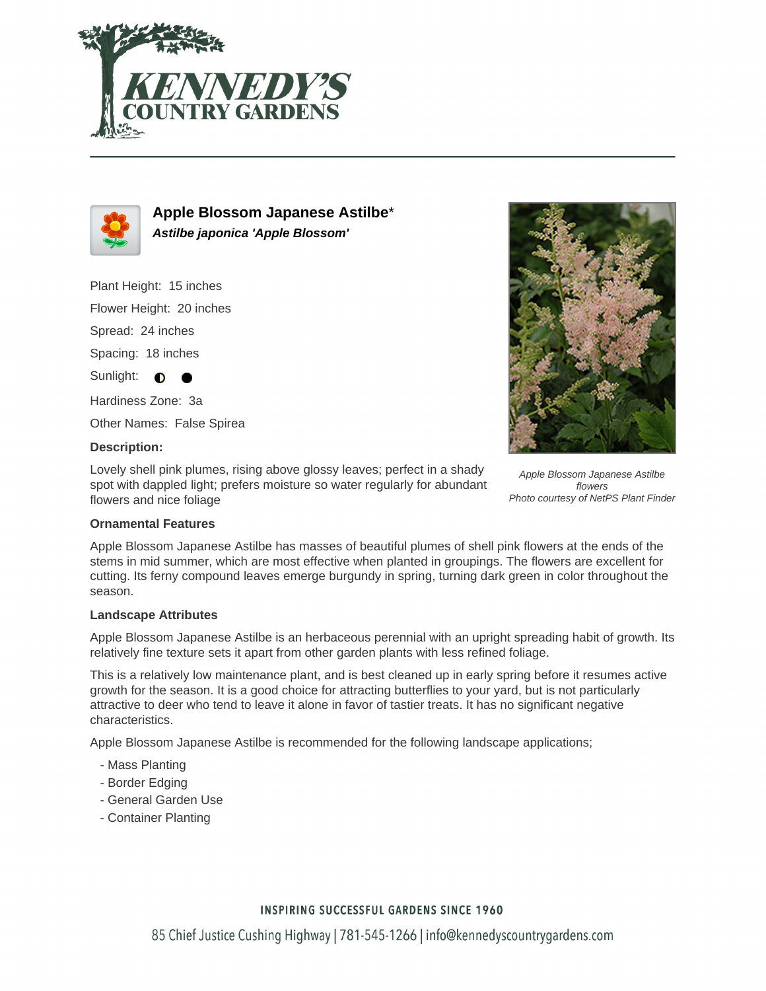



**Apple Blossom Japanese Astilbe**\* **Astilbe japonica 'Apple Blossom'**

Plant Height: 15 inches

Flower Height: 20 inches

Spread: 24 inches

Spacing: 18 inches

Sunlight:  $\bigcirc$ 

Hardiness Zone: 3a

Other Names: False Spirea

### **Description:**

Lovely shell pink plumes, rising above glossy leaves; perfect in a shady spot with dappled light; prefers moisture so water regularly for abundant flowers and nice foliage



Apple Blossom Japanese Astilbe flowers Photo courtesy of NetPS Plant Finder

### **Ornamental Features**

Apple Blossom Japanese Astilbe has masses of beautiful plumes of shell pink flowers at the ends of the stems in mid summer, which are most effective when planted in groupings. The flowers are excellent for cutting. Its ferny compound leaves emerge burgundy in spring, turning dark green in color throughout the season.

### **Landscape Attributes**

Apple Blossom Japanese Astilbe is an herbaceous perennial with an upright spreading habit of growth. Its relatively fine texture sets it apart from other garden plants with less refined foliage.

This is a relatively low maintenance plant, and is best cleaned up in early spring before it resumes active growth for the season. It is a good choice for attracting butterflies to your yard, but is not particularly attractive to deer who tend to leave it alone in favor of tastier treats. It has no significant negative characteristics.

Apple Blossom Japanese Astilbe is recommended for the following landscape applications;

- Mass Planting
- Border Edging
- General Garden Use
- Container Planting

## **INSPIRING SUCCESSFUL GARDENS SINCE 1960**

85 Chief Justice Cushing Highway | 781-545-1266 | info@kennedyscountrygardens.com